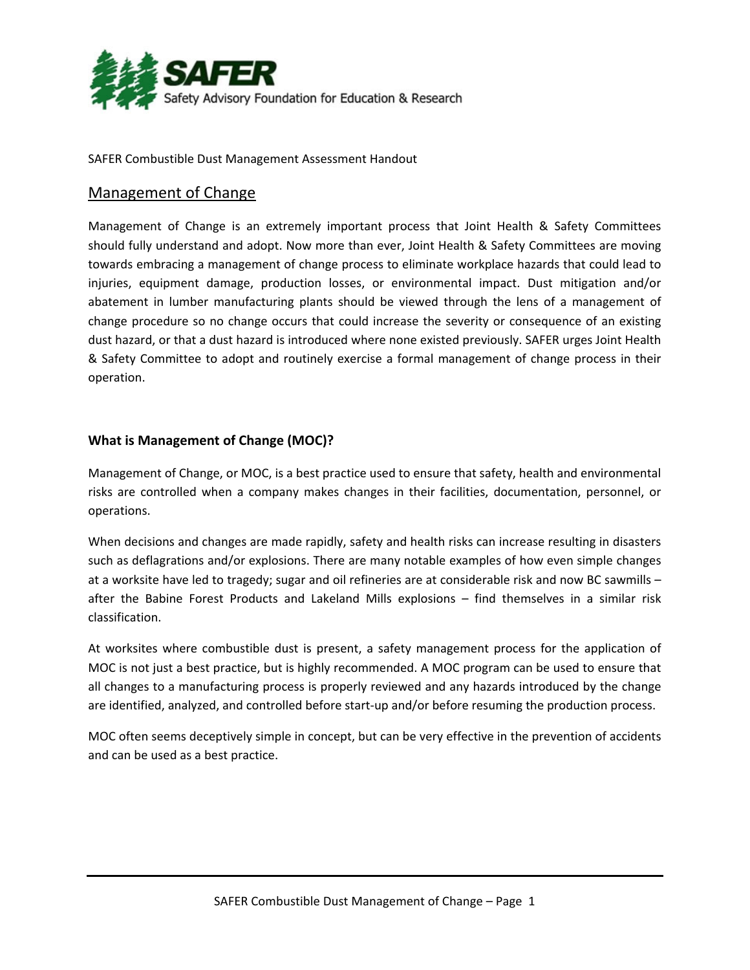

SAFER Combustible Dust Management Assessment Handout

# Management of Change

Management of Change is an extremely important process that Joint Health & Safety Committees should fully understand and adopt. Now more than ever, Joint Health & Safety Committees are moving towards embracing a management of change process to eliminate workplace hazards that could lead to injuries, equipment damage, production losses, or environmental impact. Dust mitigation and/or abatement in lumber manufacturing plants should be viewed through the lens of a management of change procedure so no change occurs that could increase the severity or consequence of an existing dust hazard, or that a dust hazard is introduced where none existed previously. SAFER urges Joint Health & Safety Committee to adopt and routinely exercise a formal management of change process in their operation.

# **What is Management of Change (MOC)?**

Management of Change, or MOC, is a best practice used to ensure that safety, health and environmental risks are controlled when a company makes changes in their facilities, documentation, personnel, or operations.

When decisions and changes are made rapidly, safety and health risks can increase resulting in disasters such as deflagrations and/or explosions. There are many notable examples of how even simple changes at a worksite have led to tragedy; sugar and oil refineries are at considerable risk and now BC sawmills – after the Babine Forest Products and Lakeland Mills explosions – find themselves in a similar risk classification.

At worksites where combustible dust is present, a safety management process for the application of MOC is not just a best practice, but is highly recommended. A MOC program can be used to ensure that all changes to a manufacturing process is properly reviewed and any hazards introduced by the change are identified, analyzed, and controlled before start-up and/or before resuming the production process.

MOC often seems deceptively simple in concept, but can be very effective in the prevention of accidents and can be used as a best practice.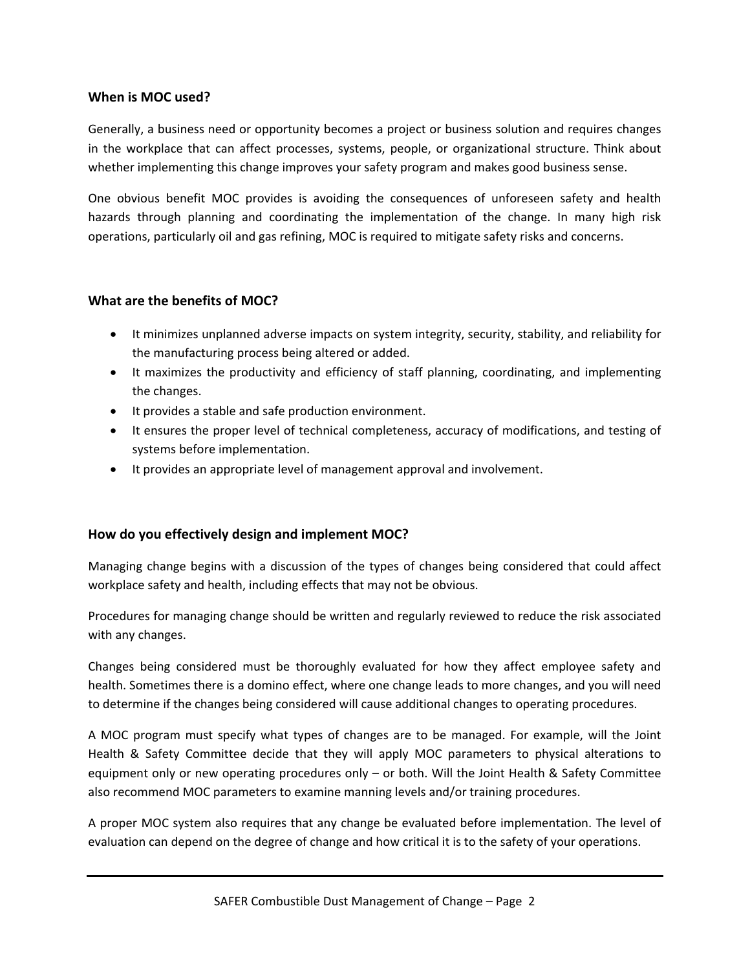# **When is MOC used?**

Generally, a business need or opportunity becomes a project or business solution and requires changes in the workplace that can affect processes, systems, people, or organizational structure. Think about whether implementing this change improves your safety program and makes good business sense.

One obvious benefit MOC provides is avoiding the consequences of unforeseen safety and health hazards through planning and coordinating the implementation of the change. In many high risk operations, particularly oil and gas refining, MOC is required to mitigate safety risks and concerns.

### **What are the benefits of MOC?**

- It minimizes unplanned adverse impacts on system integrity, security, stability, and reliability for the manufacturing process being altered or added.
- It maximizes the productivity and efficiency of staff planning, coordinating, and implementing the changes.
- It provides a stable and safe production environment.
- It ensures the proper level of technical completeness, accuracy of modifications, and testing of systems before implementation.
- It provides an appropriate level of management approval and involvement.

# **How do you effectively design and implement MOC?**

Managing change begins with a discussion of the types of changes being considered that could affect workplace safety and health, including effects that may not be obvious.

Procedures for managing change should be written and regularly reviewed to reduce the risk associated with any changes.

Changes being considered must be thoroughly evaluated for how they affect employee safety and health. Sometimes there is a domino effect, where one change leads to more changes, and you will need to determine if the changes being considered will cause additional changes to operating procedures.

A MOC program must specify what types of changes are to be managed. For example, will the Joint Health & Safety Committee decide that they will apply MOC parameters to physical alterations to equipment only or new operating procedures only – or both. Will the Joint Health & Safety Committee also recommend MOC parameters to examine manning levels and/or training procedures.

A proper MOC system also requires that any change be evaluated before implementation. The level of evaluation can depend on the degree of change and how critical it is to the safety of your operations.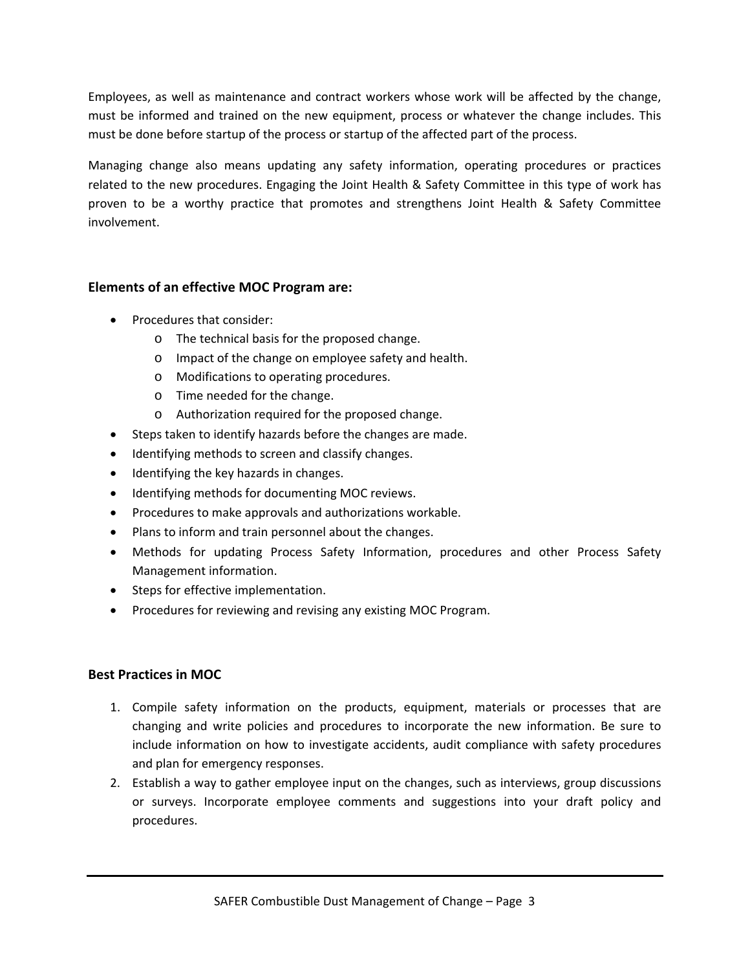Employees, as well as maintenance and contract workers whose work will be affected by the change, must be informed and trained on the new equipment, process or whatever the change includes. This must be done before startup of the process or startup of the affected part of the process.

Managing change also means updating any safety information, operating procedures or practices related to the new procedures. Engaging the Joint Health & Safety Committee in this type of work has proven to be a worthy practice that promotes and strengthens Joint Health & Safety Committee involvement.

# **Elements of an effective MOC Program are:**

- Procedures that consider:
	- o The technical basis for the proposed change.
	- o Impact of the change on employee safety and health.
	- o Modifications to operating procedures.
	- o Time needed for the change.
	- o Authorization required for the proposed change.
- Steps taken to identify hazards before the changes are made.
- Identifying methods to screen and classify changes.
- Identifying the key hazards in changes.
- $\bullet$  Identifying methods for documenting MOC reviews.
- Procedures to make approvals and authorizations workable.
- Plans to inform and train personnel about the changes.
- Methods for updating Process Safety Information, procedures and other Process Safety Management information.
- Steps for effective implementation.
- Procedures for reviewing and revising any existing MOC Program.

# **Best Practices in MOC**

- 1. Compile safety information on the products, equipment, materials or processes that are changing and write policies and procedures to incorporate the new information. Be sure to include information on how to investigate accidents, audit compliance with safety procedures and plan for emergency responses.
- 2. Establish a way to gather employee input on the changes, such as interviews, group discussions or surveys. Incorporate employee comments and suggestions into your draft policy and procedures.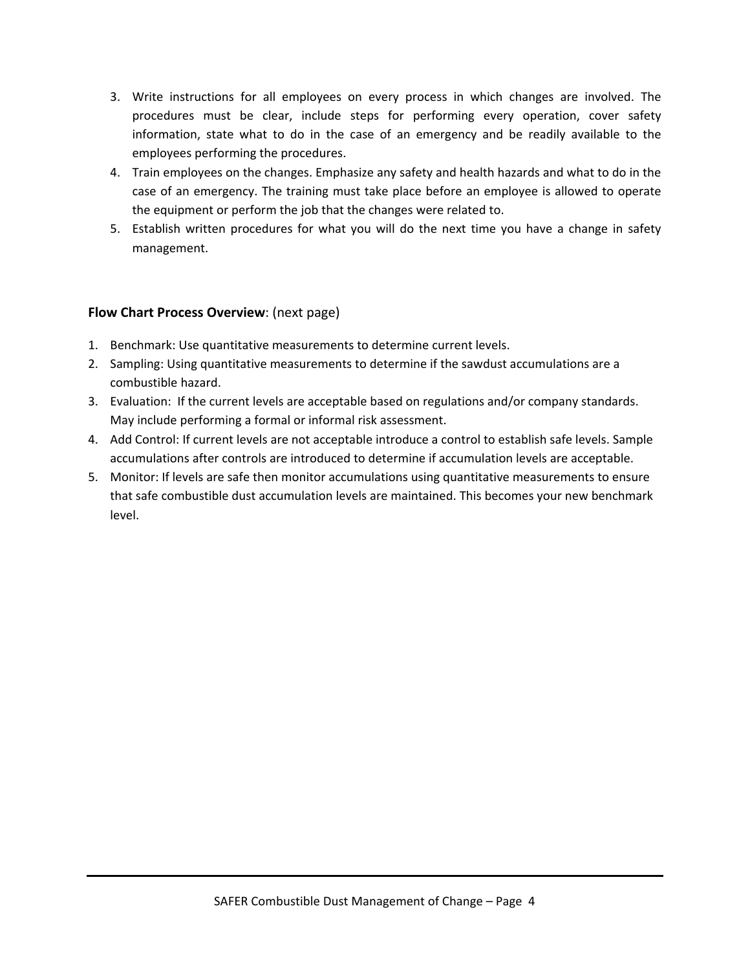- 3. Write instructions for all employees on every process in which changes are involved. The procedures must be clear, include steps for performing every operation, cover safety information, state what to do in the case of an emergency and be readily available to the employees performing the procedures.
- 4. Train employees on the changes. Emphasize any safety and health hazards and what to do in the case of an emergency. The training must take place before an employee is allowed to operate the equipment or perform the job that the changes were related to.
- 5. Establish written procedures for what you will do the next time you have a change in safety management.

# **Flow Chart Process Overview**: (next page)

- 1. Benchmark: Use quantitative measurements to determine current levels.
- 2. Sampling: Using quantitative measurements to determine if the sawdust accumulations are a combustible hazard.
- 3. Evaluation: If the current levels are acceptable based on regulations and/or company standards. May include performing a formal or informal risk assessment.
- 4. Add Control: If current levels are not acceptable introduce a control to establish safe levels. Sample accumulations after controls are introduced to determine if accumulation levels are acceptable.
- 5. Monitor: If levels are safe then monitor accumulations using quantitative measurements to ensure that safe combustible dust accumulation levels are maintained. This becomes your new benchmark level.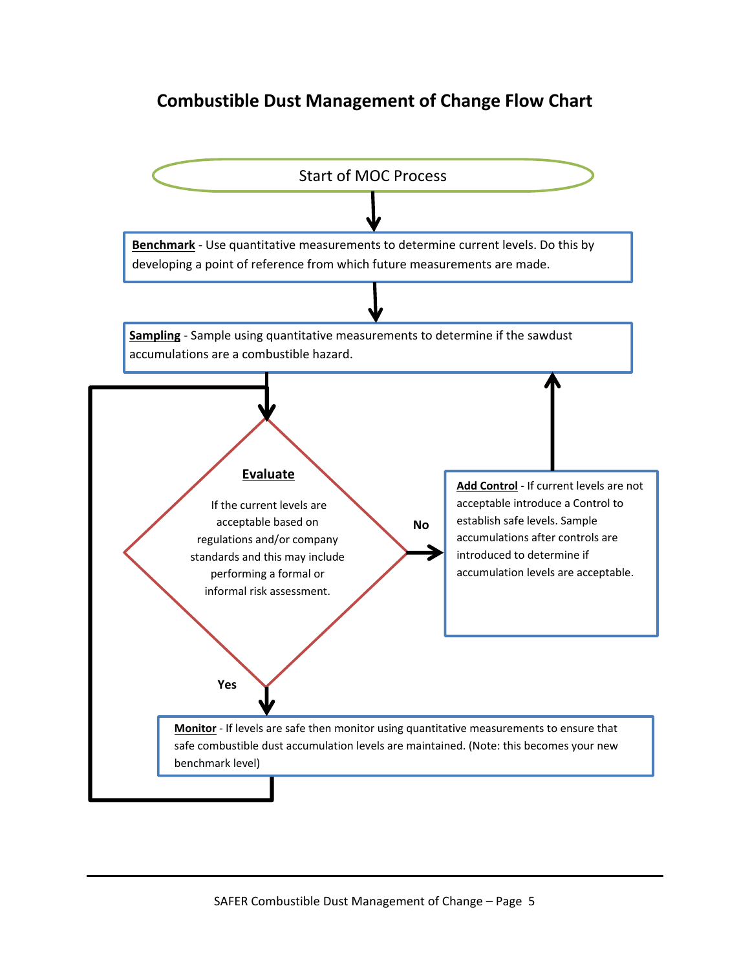# **Combustible Dust Management of Change Flow Chart**

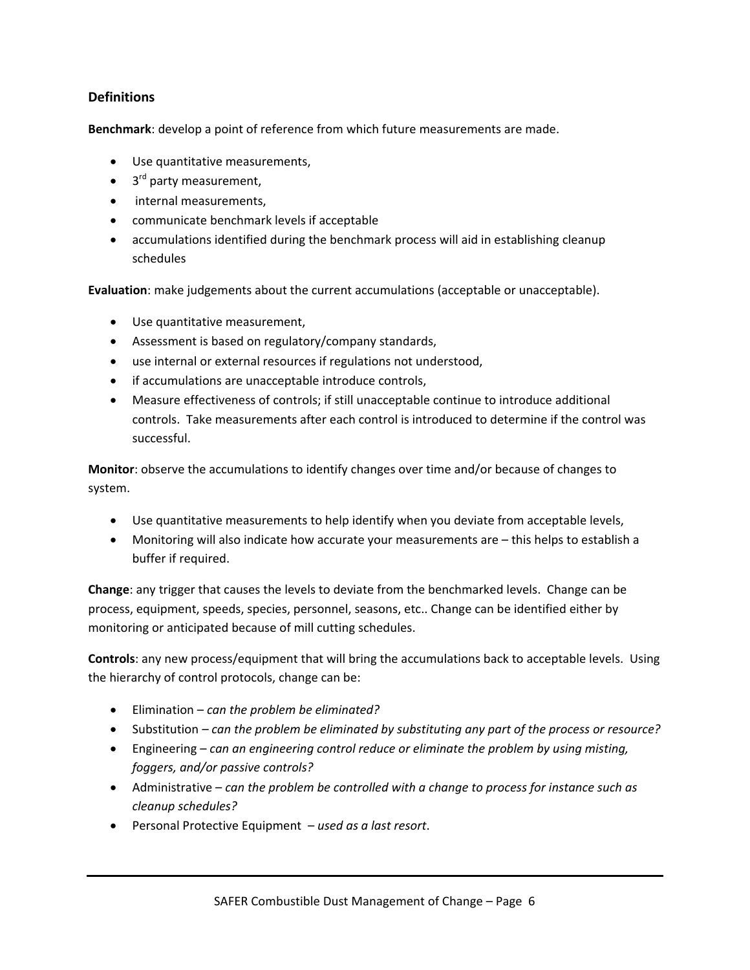# **Definitions**

**Benchmark**: develop a point of reference from which future measurements are made.

- Use quantitative measurements,
- $\bullet$  3<sup>rd</sup> party measurement,
- internal measurements.
- communicate benchmark levels if acceptable
- accumulations identified during the benchmark process will aid in establishing cleanup schedules

**Evaluation**: make judgements about the current accumulations (acceptable or unacceptable).

- Use quantitative measurement,
- Assessment is based on regulatory/company standards,
- use internal or external resources if regulations not understood,
- if accumulations are unacceptable introduce controls,
- Measure effectiveness of controls; if still unacceptable continue to introduce additional controls. Take measurements after each control is introduced to determine if the control was successful.

**Monitor**: observe the accumulations to identify changes over time and/or because of changes to system.

- Use quantitative measurements to help identify when you deviate from acceptable levels,
- Monitoring will also indicate how accurate your measurements are this helps to establish a buffer if required.

**Change**: any trigger that causes the levels to deviate from the benchmarked levels. Change can be process, equipment, speeds, species, personnel, seasons, etc.. Change can be identified either by monitoring or anticipated because of mill cutting schedules.

**Controls**: any new process/equipment that will bring the accumulations back to acceptable levels. Using the hierarchy of control protocols, change can be:

- Elimination *can the problem be eliminated?*
- Substitution *– can the problem be eliminated by substituting any part of the process or resource?*
- Engineering *can an engineering control reduce or eliminate the problem by using misting, foggers, and/or passive controls?*
- Administrative *can the problem be controlled with a change to process for instance such as cleanup schedules?*
- Personal Protective Equipment *used as a last resort*.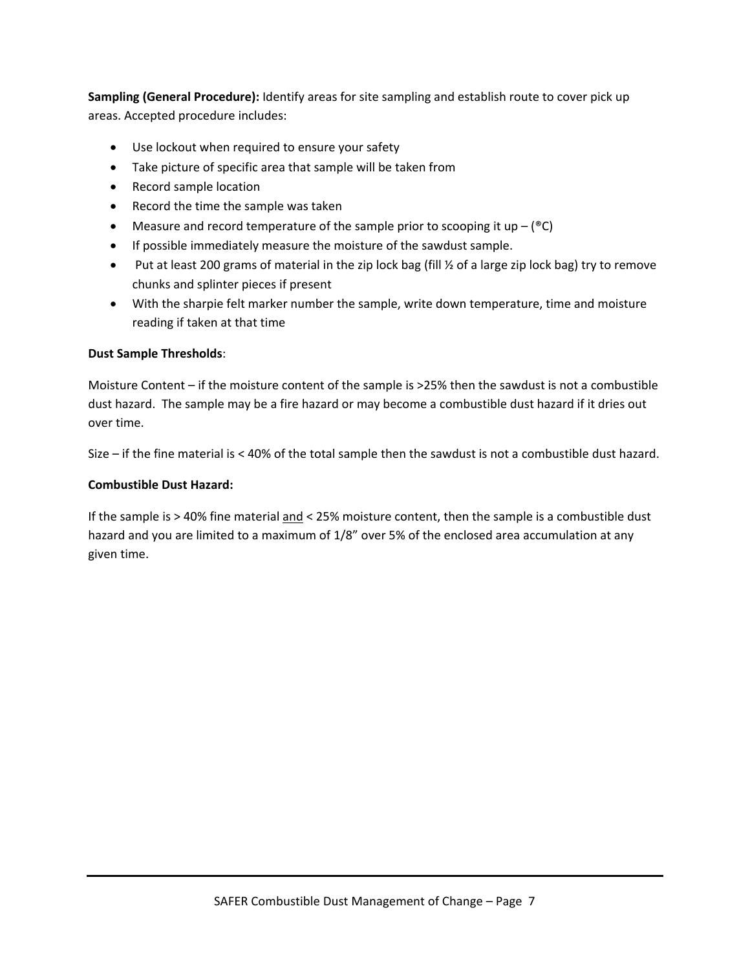**Sampling (General Procedure):** Identify areas for site sampling and establish route to cover pick up areas. Accepted procedure includes:

- Use lockout when required to ensure your safety
- Take picture of specific area that sample will be taken from
- Record sample location
- Record the time the sample was taken
- Measure and record temperature of the sample prior to scooping it up  $-$  ( $^{\circ}$ C)
- If possible immediately measure the moisture of the sawdust sample.
- Put at least 200 grams of material in the zip lock bag (fill  $\frac{1}{2}$  of a large zip lock bag) try to remove chunks and splinter pieces if present
- With the sharpie felt marker number the sample, write down temperature, time and moisture reading if taken at that time

### **Dust Sample Thresholds**:

Moisture Content – if the moisture content of the sample is >25% then the sawdust is not a combustible dust hazard. The sample may be a fire hazard or may become a combustible dust hazard if it dries out over time.

Size – if the fine material is < 40% of the total sample then the sawdust is not a combustible dust hazard.

### **Combustible Dust Hazard:**

If the sample is > 40% fine material and < 25% moisture content, then the sample is a combustible dust hazard and you are limited to a maximum of 1/8" over 5% of the enclosed area accumulation at any given time.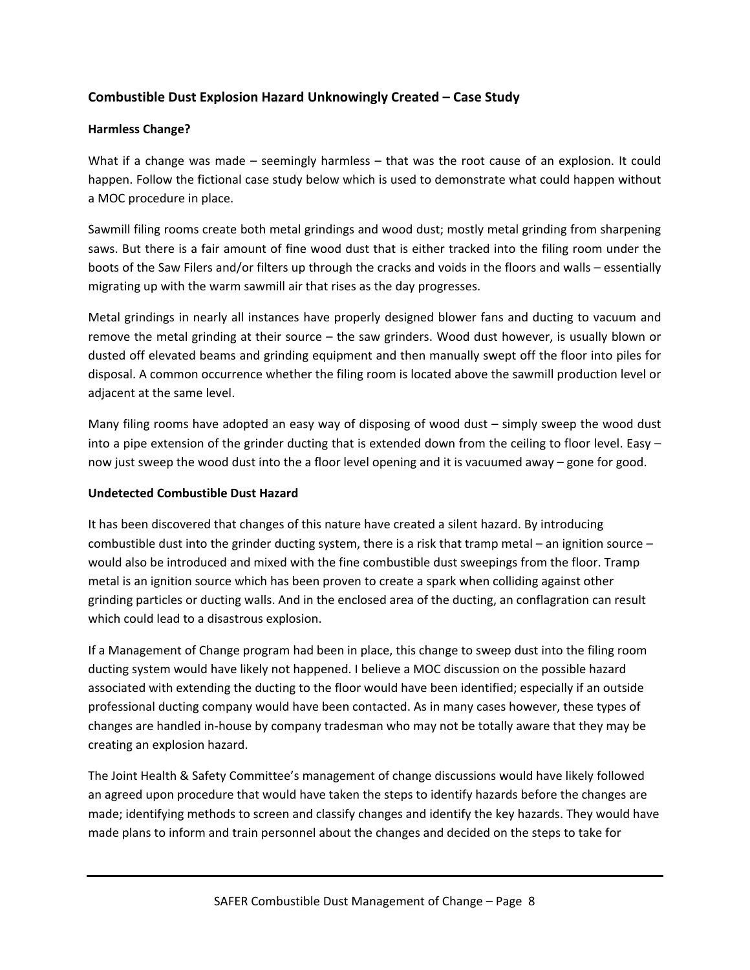# **Combustible Dust Explosion Hazard Unknowingly Created – Case Study**

# **Harmless Change?**

What if a change was made – seemingly harmless – that was the root cause of an explosion. It could happen. Follow the fictional case study below which is used to demonstrate what could happen without a MOC procedure in place.

Sawmill filing rooms create both metal grindings and wood dust; mostly metal grinding from sharpening saws. But there is a fair amount of fine wood dust that is either tracked into the filing room under the boots of the Saw Filers and/or filters up through the cracks and voids in the floors and walls – essentially migrating up with the warm sawmill air that rises as the day progresses.

Metal grindings in nearly all instances have properly designed blower fans and ducting to vacuum and remove the metal grinding at their source – the saw grinders. Wood dust however, is usually blown or dusted off elevated beams and grinding equipment and then manually swept off the floor into piles for disposal. A common occurrence whether the filing room is located above the sawmill production level or adjacent at the same level.

Many filing rooms have adopted an easy way of disposing of wood dust – simply sweep the wood dust into a pipe extension of the grinder ducting that is extended down from the ceiling to floor level. Easy – now just sweep the wood dust into the a floor level opening and it is vacuumed away – gone for good.

# **Undetected Combustible Dust Hazard**

It has been discovered that changes of this nature have created a silent hazard. By introducing combustible dust into the grinder ducting system, there is a risk that tramp metal – an ignition source – would also be introduced and mixed with the fine combustible dust sweepings from the floor. Tramp metal is an ignition source which has been proven to create a spark when colliding against other grinding particles or ducting walls. And in the enclosed area of the ducting, an conflagration can result which could lead to a disastrous explosion.

If a Management of Change program had been in place, this change to sweep dust into the filing room ducting system would have likely not happened. I believe a MOC discussion on the possible hazard associated with extending the ducting to the floor would have been identified; especially if an outside professional ducting company would have been contacted. As in many cases however, these types of changes are handled in‐house by company tradesman who may not be totally aware that they may be creating an explosion hazard.

The Joint Health & Safety Committee's management of change discussions would have likely followed an agreed upon procedure that would have taken the steps to identify hazards before the changes are made; identifying methods to screen and classify changes and identify the key hazards. They would have made plans to inform and train personnel about the changes and decided on the steps to take for